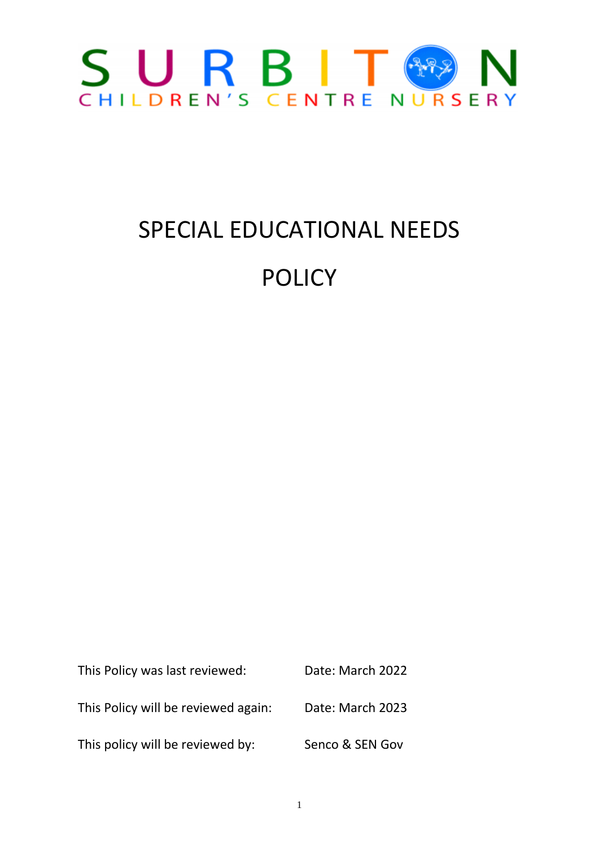

# SPECIAL EDUCATIONAL NEEDS POLICY

This Policy was last reviewed: Date: March 2022 This Policy will be reviewed again: Date: March 2023 This policy will be reviewed by: Senco & SEN Gov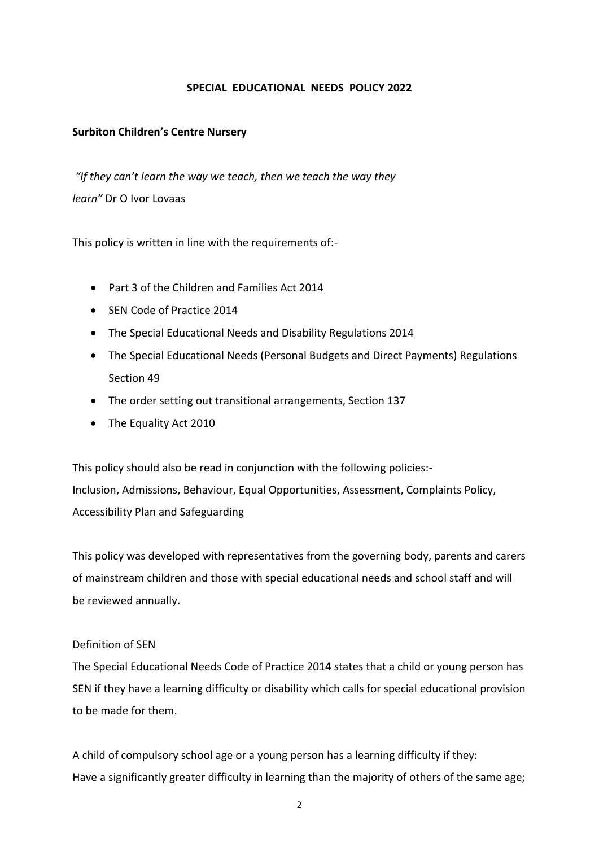#### **SPECIAL EDUCATIONAL NEEDS POLICY 2022**

#### **Surbiton Children's Centre Nursery**

*"If they can't learn the way we teach, then we teach the way they learn"* Dr O Ivor Lovaas

This policy is written in line with the requirements of:-

- Part 3 of the Children and Families Act 2014
- SEN Code of Practice 2014
- The Special Educational Needs and Disability Regulations 2014
- The Special Educational Needs (Personal Budgets and Direct Payments) Regulations Section 49
- The order setting out transitional arrangements, Section 137
- The Equality Act 2010

This policy should also be read in conjunction with the following policies:- Inclusion, Admissions, Behaviour, Equal Opportunities, Assessment, Complaints Policy, Accessibility Plan and Safeguarding

This policy was developed with representatives from the governing body, parents and carers of mainstream children and those with special educational needs and school staff and will be reviewed annually.

#### Definition of SEN

The Special Educational Needs Code of Practice 2014 states that a child or young person has SEN if they have a learning difficulty or disability which calls for special educational provision to be made for them.

A child of compulsory school age or a young person has a learning difficulty if they: Have a significantly greater difficulty in learning than the majority of others of the same age;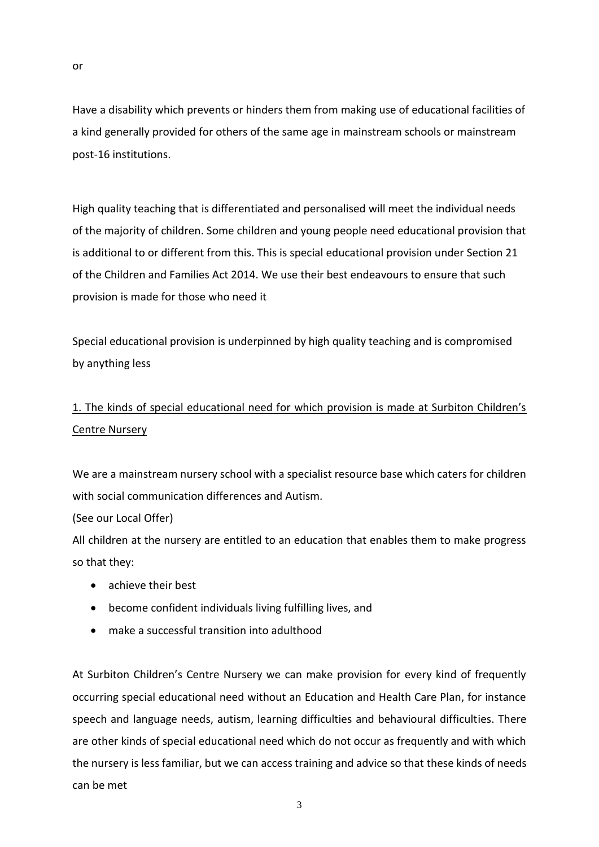Have a disability which prevents or hinders them from making use of educational facilities of a kind generally provided for others of the same age in mainstream schools or mainstream post-16 institutions.

High quality teaching that is differentiated and personalised will meet the individual needs of the majority of children. Some children and young people need educational provision that is additional to or different from this. This is special educational provision under Section 21 of the Children and Families Act 2014. We use their best endeavours to ensure that such provision is made for those who need it

Special educational provision is underpinned by high quality teaching and is compromised by anything less

## 1. The kinds of special educational need for which provision is made at Surbiton Children's Centre Nursery

We are a mainstream nursery school with a specialist resource base which caters for children with social communication differences and Autism.

(See our Local Offer)

All children at the nursery are entitled to an education that enables them to make progress so that they:

- achieve their best
- become confident individuals living fulfilling lives, and
- make a successful transition into adulthood

At Surbiton Children's Centre Nursery we can make provision for every kind of frequently occurring special educational need without an Education and Health Care Plan, for instance speech and language needs, autism, learning difficulties and behavioural difficulties. There are other kinds of special educational need which do not occur as frequently and with which the nursery is less familiar, but we can access training and advice so that these kinds of needs can be met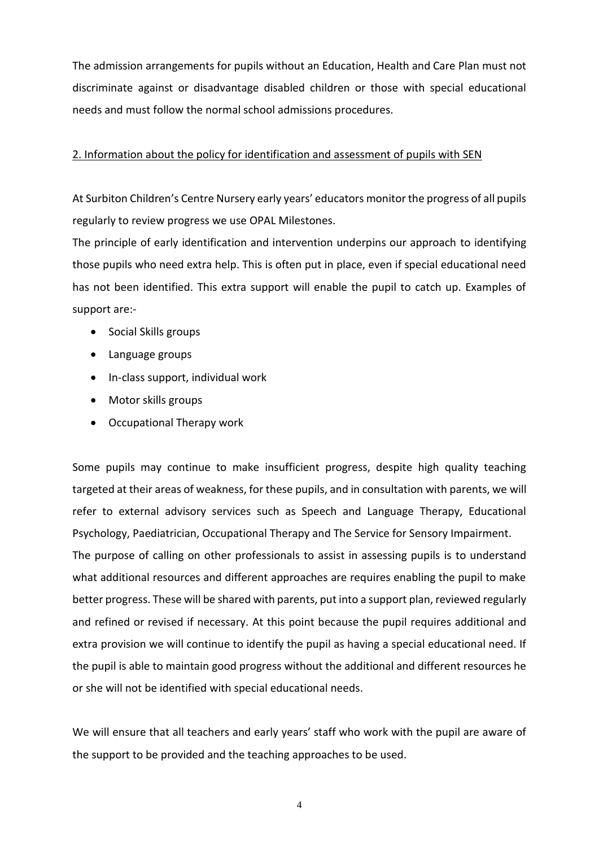The admission arrangements for pupils without an Education, Health and Care Plan must not discriminate against or disadvantage disabled children or those with special educational needs and must follow the normal school admissions procedures.

#### 2. Information about the policy for identification and assessment of pupils with SEN

At Surbiton Children's Centre Nursery early years' educators monitor the progress of all pupils regularly to review progress we use OPAL Milestones.

The principle of early identification and intervention underpins our approach to identifying those pupils who need extra help. This is often put in place, even if special educational need has not been identified. This extra support will enable the pupil to catch up. Examples of support are:-

- Social Skills groups
- Language groups
- In-class support, individual work
- Motor skills groups
- Occupational Therapy work

Some pupils may continue to make insufficient progress, despite high quality teaching targeted at their areas of weakness, for these pupils, and in consultation with parents, we will refer to external advisory services such as Speech and Language Therapy, Educational Psychology, Paediatrician, Occupational Therapy and The Service for Sensory Impairment.

The purpose of calling on other professionals to assist in assessing pupils is to understand what additional resources and different approaches are requires enabling the pupil to make better progress. These will be shared with parents, put into a support plan, reviewed regularly and refined or revised if necessary. At this point because the pupil requires additional and extra provision we will continue to identify the pupil as having a special educational need. If the pupil is able to maintain good progress without the additional and different resources he or she will not be identified with special educational needs.

We will ensure that all teachers and early years' staff who work with the pupil are aware of the support to be provided and the teaching approaches to be used.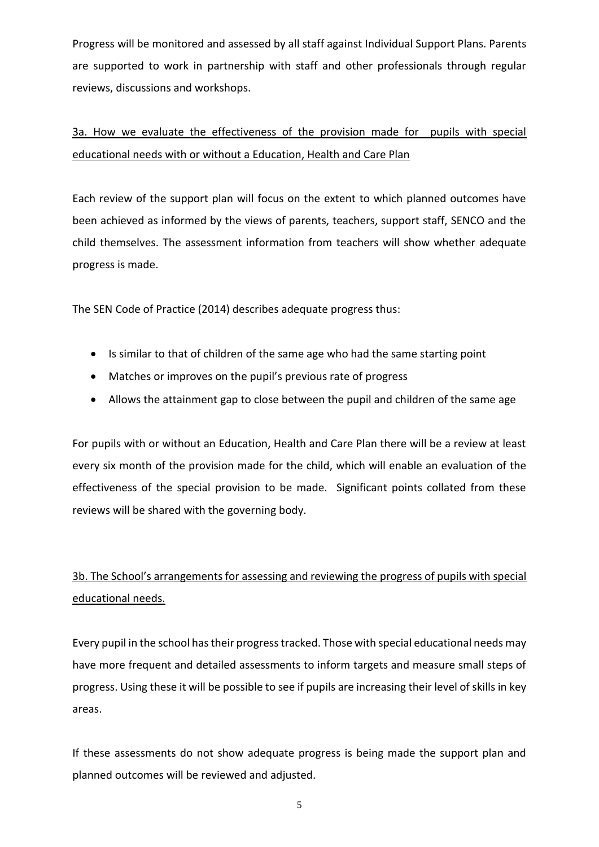Progress will be monitored and assessed by all staff against Individual Support Plans. Parents are supported to work in partnership with staff and other professionals through regular reviews, discussions and workshops.

# 3a. How we evaluate the effectiveness of the provision made for pupils with special educational needs with or without a Education, Health and Care Plan

Each review of the support plan will focus on the extent to which planned outcomes have been achieved as informed by the views of parents, teachers, support staff, SENCO and the child themselves. The assessment information from teachers will show whether adequate progress is made.

The SEN Code of Practice (2014) describes adequate progress thus:

- Is similar to that of children of the same age who had the same starting point
- Matches or improves on the pupil's previous rate of progress
- Allows the attainment gap to close between the pupil and children of the same age

For pupils with or without an Education, Health and Care Plan there will be a review at least every six month of the provision made for the child, which will enable an evaluation of the effectiveness of the special provision to be made. Significant points collated from these reviews will be shared with the governing body.

# 3b. The School's arrangements for assessing and reviewing the progress of pupils with special educational needs.

Every pupil in the school has their progress tracked. Those with special educational needs may have more frequent and detailed assessments to inform targets and measure small steps of progress. Using these it will be possible to see if pupils are increasing their level of skills in key areas.

If these assessments do not show adequate progress is being made the support plan and planned outcomes will be reviewed and adjusted.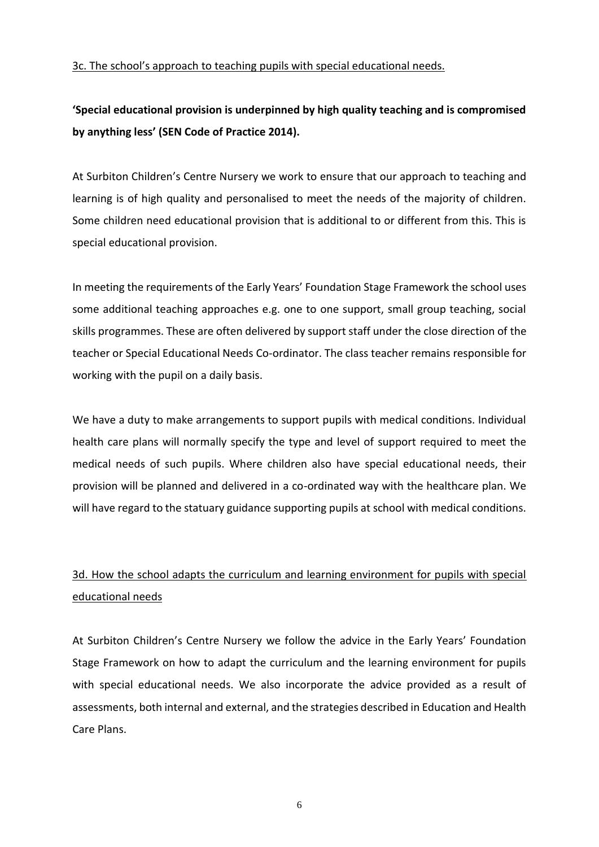#### 3c. The school's approach to teaching pupils with special educational needs.

## **'Special educational provision is underpinned by high quality teaching and is compromised by anything less' (SEN Code of Practice 2014).**

At Surbiton Children's Centre Nursery we work to ensure that our approach to teaching and learning is of high quality and personalised to meet the needs of the majority of children. Some children need educational provision that is additional to or different from this. This is special educational provision.

In meeting the requirements of the Early Years' Foundation Stage Framework the school uses some additional teaching approaches e.g. one to one support, small group teaching, social skills programmes. These are often delivered by support staff under the close direction of the teacher or Special Educational Needs Co-ordinator. The class teacher remains responsible for working with the pupil on a daily basis.

We have a duty to make arrangements to support pupils with medical conditions. Individual health care plans will normally specify the type and level of support required to meet the medical needs of such pupils. Where children also have special educational needs, their provision will be planned and delivered in a co-ordinated way with the healthcare plan. We will have regard to the statuary guidance supporting pupils at school with medical conditions.

## 3d. How the school adapts the curriculum and learning environment for pupils with special educational needs

At Surbiton Children's Centre Nursery we follow the advice in the Early Years' Foundation Stage Framework on how to adapt the curriculum and the learning environment for pupils with special educational needs. We also incorporate the advice provided as a result of assessments, both internal and external, and the strategies described in Education and Health Care Plans.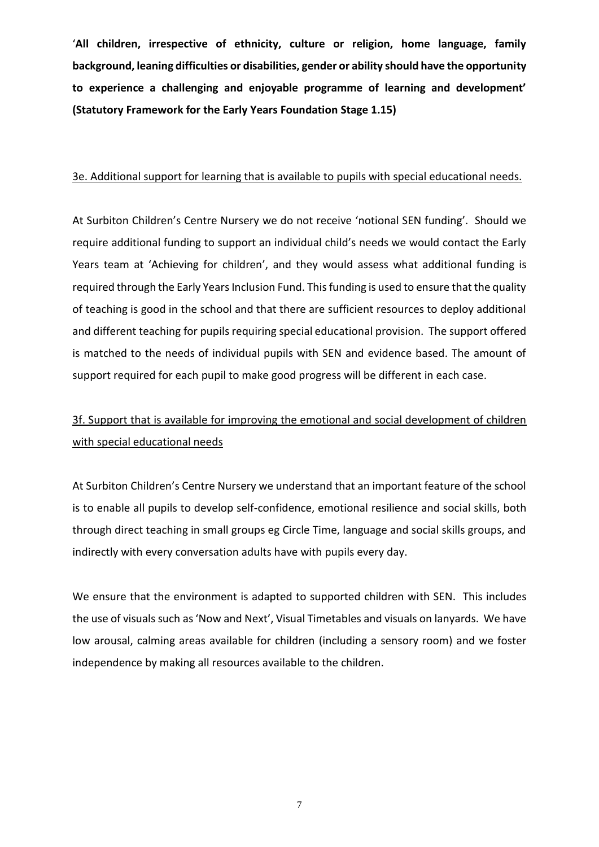'**All children, irrespective of ethnicity, culture or religion, home language, family background, leaning difficulties or disabilities, gender or ability should have the opportunity to experience a challenging and enjoyable programme of learning and development' (Statutory Framework for the Early Years Foundation Stage 1.15)**

#### 3e. Additional support for learning that is available to pupils with special educational needs.

At Surbiton Children's Centre Nursery we do not receive 'notional SEN funding'. Should we require additional funding to support an individual child's needs we would contact the Early Years team at 'Achieving for children', and they would assess what additional funding is required through the Early Years Inclusion Fund. This funding is used to ensure that the quality of teaching is good in the school and that there are sufficient resources to deploy additional and different teaching for pupils requiring special educational provision. The support offered is matched to the needs of individual pupils with SEN and evidence based. The amount of support required for each pupil to make good progress will be different in each case.

## 3f. Support that is available for improving the emotional and social development of children with special educational needs

At Surbiton Children's Centre Nursery we understand that an important feature of the school is to enable all pupils to develop self-confidence, emotional resilience and social skills, both through direct teaching in small groups eg Circle Time, language and social skills groups, and indirectly with every conversation adults have with pupils every day.

We ensure that the environment is adapted to supported children with SEN. This includes the use of visuals such as 'Now and Next', Visual Timetables and visuals on lanyards. We have low arousal, calming areas available for children (including a sensory room) and we foster independence by making all resources available to the children.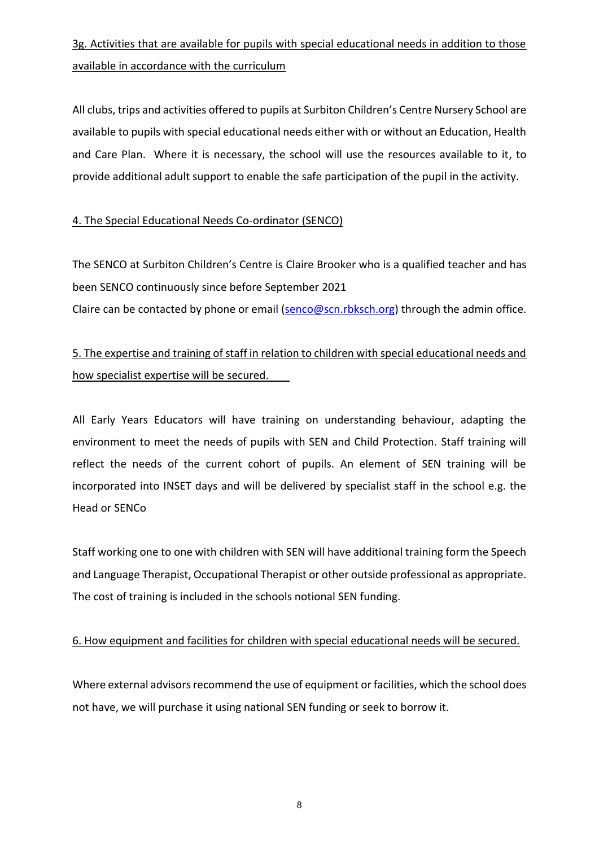# 3g. Activities that are available for pupils with special educational needs in addition to those available in accordance with the curriculum

All clubs, trips and activities offered to pupils at Surbiton Children's Centre Nursery School are available to pupils with special educational needs either with or without an Education, Health and Care Plan. Where it is necessary, the school will use the resources available to it, to provide additional adult support to enable the safe participation of the pupil in the activity.

#### 4. The Special Educational Needs Co-ordinator (SENCO)

The SENCO at Surbiton Children's Centre is Claire Brooker who is a qualified teacher and has been SENCO continuously since before September 2021 Claire can be contacted by phone or email [\(senco@scn.rbksch.org\)](mailto:senco@scn.rbksch.org) through the admin office.

### 5. The expertise and training of staff in relation to children with special educational needs and how specialist expertise will be secured.

All Early Years Educators will have training on understanding behaviour, adapting the environment to meet the needs of pupils with SEN and Child Protection. Staff training will reflect the needs of the current cohort of pupils. An element of SEN training will be incorporated into INSET days and will be delivered by specialist staff in the school e.g. the Head or SENCo

Staff working one to one with children with SEN will have additional training form the Speech and Language Therapist, Occupational Therapist or other outside professional as appropriate. The cost of training is included in the schools notional SEN funding.

#### 6. How equipment and facilities for children with special educational needs will be secured.

Where external advisors recommend the use of equipment or facilities, which the school does not have, we will purchase it using national SEN funding or seek to borrow it.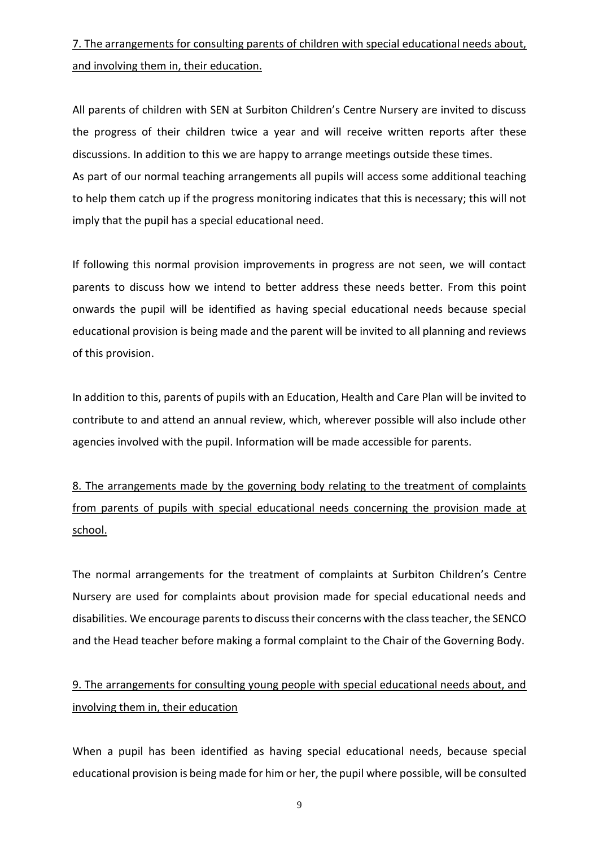# 7. The arrangements for consulting parents of children with special educational needs about, and involving them in, their education.

All parents of children with SEN at Surbiton Children's Centre Nursery are invited to discuss the progress of their children twice a year and will receive written reports after these discussions. In addition to this we are happy to arrange meetings outside these times. As part of our normal teaching arrangements all pupils will access some additional teaching to help them catch up if the progress monitoring indicates that this is necessary; this will not imply that the pupil has a special educational need.

If following this normal provision improvements in progress are not seen, we will contact parents to discuss how we intend to better address these needs better. From this point onwards the pupil will be identified as having special educational needs because special educational provision is being made and the parent will be invited to all planning and reviews of this provision.

In addition to this, parents of pupils with an Education, Health and Care Plan will be invited to contribute to and attend an annual review, which, wherever possible will also include other agencies involved with the pupil. Information will be made accessible for parents.

8. The arrangements made by the governing body relating to the treatment of complaints from parents of pupils with special educational needs concerning the provision made at school.

The normal arrangements for the treatment of complaints at Surbiton Children's Centre Nursery are used for complaints about provision made for special educational needs and disabilities. We encourage parents to discuss their concerns with the class teacher, the SENCO and the Head teacher before making a formal complaint to the Chair of the Governing Body.

## 9. The arrangements for consulting young people with special educational needs about, and involving them in, their education

When a pupil has been identified as having special educational needs, because special educational provision is being made for him or her, the pupil where possible, will be consulted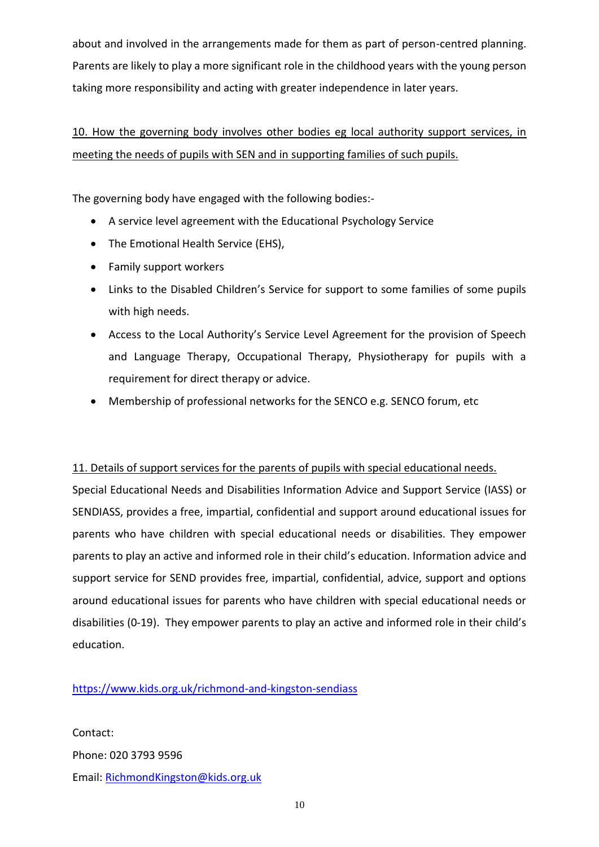about and involved in the arrangements made for them as part of person-centred planning. Parents are likely to play a more significant role in the childhood years with the young person taking more responsibility and acting with greater independence in later years.

# 10. How the governing body involves other bodies eg local authority support services, in meeting the needs of pupils with SEN and in supporting families of such pupils.

The governing body have engaged with the following bodies:-

- A service level agreement with the Educational Psychology Service
- The Emotional Health Service (EHS),
- Family support workers
- Links to the Disabled Children's Service for support to some families of some pupils with high needs.
- Access to the Local Authority's Service Level Agreement for the provision of Speech and Language Therapy, Occupational Therapy, Physiotherapy for pupils with a requirement for direct therapy or advice.
- Membership of professional networks for the SENCO e.g. SENCO forum, etc

#### 11. Details of support services for the parents of pupils with special educational needs.

Special Educational Needs and Disabilities Information Advice and Support Service (IASS) or SENDIASS, provides a free, impartial, confidential and support around educational issues for parents who have children with special educational needs or disabilities. They empower parents to play an active and informed role in their child's education. Information advice and support service for SEND provides free, impartial, confidential, advice, support and options around educational issues for parents who have children with special educational needs or disabilities (0-19). They empower parents to play an active and informed role in their child's education.

#### <https://www.kids.org.uk/richmond-and-kingston-sendiass>

Contact: Phone: 020 3793 9596 Email: [RichmondKingston@kids.org.uk](mailto:RichmondKingston@kids.org.uk)